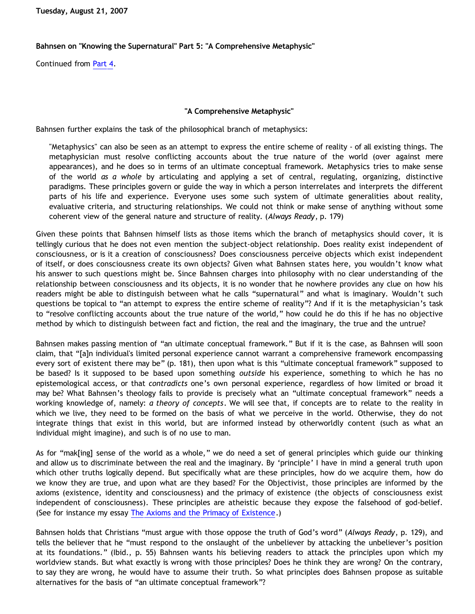**Tuesday, August 21, 2007**

## **Bahnsen on "Knowing the Supernatural" Part 5: "A Comprehensive Metaphysic"**

Continued from [Part 4](http://bahnsenburner.blogspot.com/2007/08/bahnsen-on-knowing-supernatural-part-4.html).

## **"A Comprehensive Metaphysic"**

Bahnsen further explains the task of the philosophical branch of metaphysics:

"Metaphysics" can also be seen as an attempt to express the entire scheme of reality - of all existing things. The metaphysician must resolve conflicting accounts about the true nature of the world (over against mere appearances), and he does so in terms of an ultimate conceptual framework. Metaphysics tries to make sense of the world *as a whole* by articulating and applying a set of central, regulating, organizing, distinctive paradigms. These principles govern or guide the way in which a person interrelates and interprets the different parts of his life and experience. Everyone uses some such system of ultimate generalities about reality, evaluative criteria, and structuring relationships. We could not think or make sense of anything without some coherent view of the general nature and structure of reality. (*Always Ready*, p. 179)

Given these points that Bahnsen himself lists as those items which the branch of metaphysics should cover, it is tellingly curious that he does not even mention the subject-object relationship. Does reality exist independent of consciousness, or is it a creation of consciousness? Does consciousness perceive objects which exist independent of itself, or does consciousness create its own objects? Given what Bahnsen states here, you wouldn't know what his answer to such questions might be. Since Bahnsen charges into philosophy with no clear understanding of the relationship between consciousness and its objects, it is no wonder that he nowhere provides any clue on how his readers might be able to distinguish between what he calls "supernatural" and what is imaginary. Wouldn't such questions be topical to "an attempt to express the entire scheme of reality"? And if it is the metaphysician's task to "resolve conflicting accounts about the true nature of the world," how could he do this if he has no objective method by which to distinguish between fact and fiction, the real and the imaginary, the true and the untrue?

Bahnsen makes passing mention of "an ultimate conceptual framework." But if it is the case, as Bahnsen will soon claim, that "[a]n individual's limited personal experience cannot warrant a comprehensive framework encompassing every sort of existent there may be" (p. 181), then upon what is this "ultimate conceptual framework" supposed to be based? Is it supposed to be based upon something *outside* his experience, something to which he has no epistemological access, or that *contradicts* one's own personal experience, regardless of how limited or broad it may be? What Bahnsen's theology fails to provide is precisely what an "ultimate conceptual framework" needs a working knowledge of, namely: *a theory of concepts*. We will see that, if concepts are to relate to the reality in which we live, they need to be formed on the basis of what we perceive in the world. Otherwise, they do not integrate things that exist in this world, but are informed instead by otherworldly content (such as what an individual might imagine), and such is of no use to man.

As for "mak[ing] sense of the world as a whole," we do need a set of general principles which guide our thinking and allow us to discriminate between the real and the imaginary. By 'principle' I have in mind a general truth upon which other truths logically depend. But specifically what are these principles, how do we acquire them, how do we know they are true, and upon what are they based? For the Objectivist, those principles are informed by the axioms (existence, identity and consciousness) and the primacy of existence (the objects of consciousness exist independent of consciousness). These principles are atheistic because they expose the falsehood of god-belief. (See for instance my essay [The Axioms and the Primacy of Existence.](http://www.geocities.com/katholon/AxiomsPOE.htm))

Bahnsen holds that Christians "must argue with those oppose the truth of God's word" (*Always Ready*, p. 129), and tells the believer that he "must respond to the onslaught of the unbeliever by attacking the unbeliever's position at its foundations." (Ibid., p. 55) Bahnsen wants his believing readers to attack the principles upon which my worldview stands. But what exactly is wrong with those principles? Does he think they are wrong? On the contrary, to say they are wrong, he would have to assume their truth. So what principles does Bahnsen propose as suitable alternatives for the basis of "an ultimate conceptual framework"?